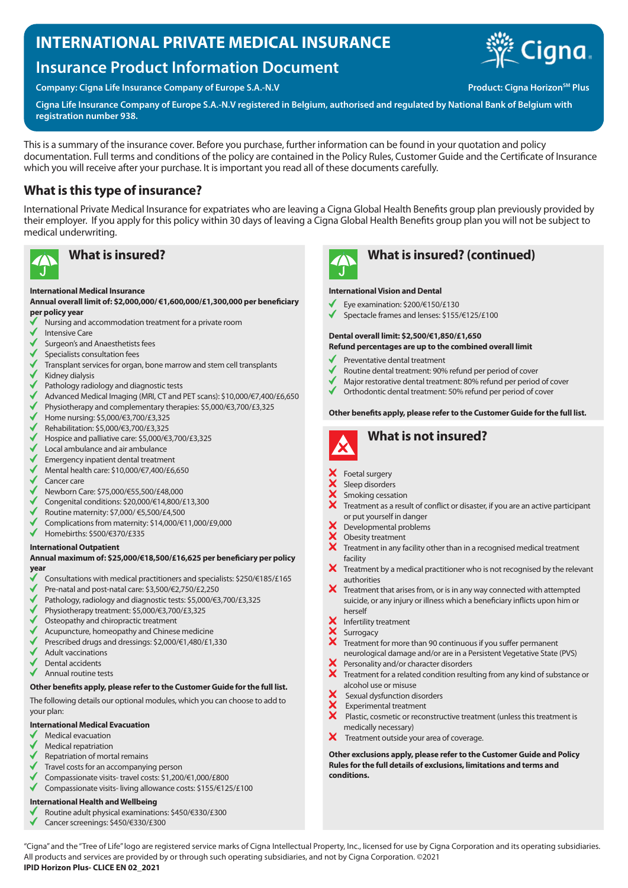# **INTERNATIONAL PRIVATE MEDICAL INSURANCE**

# **Insurance Product Information Document**

**Company: Cigna Life Insurance Company of Europe S.A.-N.V Product: Cigna Horizon<sup>SM</sup> Plus** 



**Cigna Life Insurance Company of Europe S.A.-N.V registered in Belgium, authorised and regulated by National Bank of Belgium with registration number 938.**

This is a summary of the insurance cover. Before you purchase, further information can be found in your quotation and policy documentation. Full terms and conditions of the policy are contained in the Policy Rules, Customer Guide and the Certificate of Insurance which you will receive after your purchase. It is important you read all of these documents carefully.

## **What is this type of insurance?**

International Private Medical Insurance for expatriates who are leaving a Cigna Global Health Benefits group plan previously provided by their employer. If you apply for this policy within 30 days of leaving a Cigna Global Health Benefits group plan you will not be subject to medical underwriting.



#### **International Medical Insurance**

**Annual overall limit of: \$2,000,000/ €1,600,000/£1,300,000 per beneficiary per policy year**

- Nursing and accommodation treatment for a private room
- Intensive Care
- Surgeon's and Anaesthetists fees
- Specialists consultation fees
- Transplant services for organ, bone marrow and stem cell transplants
- Kidney dialysis
- Pathology radiology and diagnostic tests
- Advanced Medical Imaging (MRI, CT and PET scans): \$10,000/€7,400/£6,650
- Physiotherapy and complementary therapies: \$5,000/€3,700/£3,325
- Home nursing: \$5,000/€3,700/£3,325
- Rehabilitation: \$5,000/€3,700/£3,325
- Hospice and palliative care: \$5,000/€3,700/£3,325
- Local ambulance and air ambulance
- Emergency inpatient dental treatment
- Mental health care: \$10,000/€7,400/£6,650
- Cancer care
- Newborn Care: \$75,000/€55,500/£48,000
- Congenital conditions: \$20,000/€14,800/£13,300
- Routine maternity: \$7,000/ €5,500/£4,500
- Complications from maternity: \$14,000/€11,000/£9,000
- ✔ Homebirths: \$500/€370/£335

#### **International Outpatient**

#### **Annual maximum of: \$25,000/€18,500/£16,625 per beneficiary per policy year**

- Consultations with medical practitioners and specialists: \$250/€185/£165
- Pre-natal and post-natal care: \$3,500/€2,750/£2,250
- Pathology, radiology and diagnostic tests: \$5,000/€3,700/£3,325
- Physiotherapy treatment: \$5,000/€3,700/£3,325
- Osteopathy and chiropractic treatment
- Acupuncture, homeopathy and Chinese medicine
- Prescribed drugs and dressings: \$2,000/€1,480/£1,330
- Adult vaccinations
- Dental accidents
- Annual routine tests

### **Other benefits apply, please refer to the Customer Guide for the full list.**

The following details our optional modules, which you can choose to add to your plan:

#### **International Medical Evacuation**

- Medical evacuation
- Medical repatriation
- Repatriation of mortal remains
- Travel costs for an accompanying person
- Compassionate visits- travel costs: \$1,200/€1,000/£800 Compassionate visits- living allowance costs: \$155/€125/£100

### **International Health and Wellbeing**

- Routine adult physical examinations: \$450/€330/£300
- Cancer screenings: \$450/€330/£300



## **What is insured? What is insured? (continued)**

#### **International Vision and Dental**

- Eye examination: \$200/€150/£130
- Spectacle frames and lenses: \$155/€125/£100

#### **Dental overall limit: \$2,500/€1,850/£1,650 Refund percentages are up to the combined overall limit**

- Preventative dental treatment
- 
- Routine dental treatment: 90% refund per period of cover
- Major restorative dental treatment: 80% refund per period of cover
- Orthodontic dental treatment: 50% refund per period of cover

#### **Other benefits apply, please refer to the Customer Guide for the full list.**



- Foetal surgery
- Sleep disorders
- Smoking cessation
- Treatment as a result of conflict or disaster, if you are an active participant or put yourself in danger
- Developmental problems
- XXX Obesity treatment
- Treatment in any facility other than in a recognised medical treatment facility
- $\mathsf{x}$ Treatment by a medical practitioner who is not recognised by the relevant authorities
- $\boldsymbol{\times}$  Treatment that arises from, or is in any way connected with attempted suicide, or any injury or illness which a beneficiary inflicts upon him or herself
- Infertility treatment
- **XXX** Surrogacy
	- Treatment for more than 90 continuous if you suffer permanent
	- neurological damage and/or are in a Persistent Vegetative State (PVS)
- Personality and/or character disorders
- Treatment for a related condition resulting from any kind of substance or alcohol use or misuse
- Sexual dysfunction disorders
- Experimental treatment
- $\ddot{\mathbf{x}}$  Plastic, cosmetic or reconstructive treatment (unless this treatment is medically necessary)
- $\boldsymbol{\times}$ Treatment outside your area of coverage.

**Other exclusions apply, please refer to the Customer Guide and Policy Rules for the full details of exclusions, limitations and terms and conditions.**

"Cigna" and the "Tree of Life" logo are registered service marks of Cigna Intellectual Property, Inc., licensed for use by Cigna Corporation and its operating subsidiaries. All products and services are provided by or through such operating subsidiaries, and not by Cigna Corporation. ©2021 **IPID Horizon Plus- CLICE EN 02\_2021**